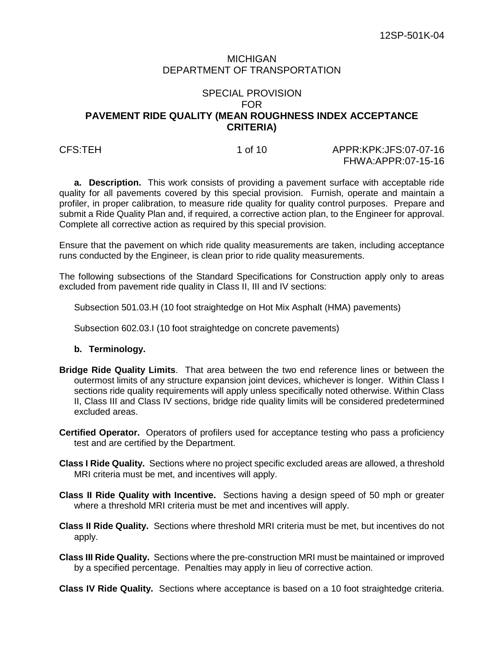## MICHIGAN DEPARTMENT OF TRANSPORTATION

# SPECIAL PROVISION FOR **PAVEMENT RIDE QUALITY (MEAN ROUGHNESS INDEX ACCEPTANCE CRITERIA)**

CFS:TEH 1 of 10 APPR:KPK:JFS:07-07-16 FHWA:APPR:07-15-16

**a. Description.** This work consists of providing a pavement surface with acceptable ride quality for all pavements covered by this special provision. Furnish, operate and maintain a profiler, in proper calibration, to measure ride quality for quality control purposes. Prepare and submit a Ride Quality Plan and, if required, a corrective action plan, to the Engineer for approval. Complete all corrective action as required by this special provision.

Ensure that the pavement on which ride quality measurements are taken, including acceptance runs conducted by the Engineer, is clean prior to ride quality measurements.

The following subsections of the Standard Specifications for Construction apply only to areas excluded from pavement ride quality in Class II, III and IV sections:

Subsection 501.03.H (10 foot straightedge on Hot Mix Asphalt (HMA) pavements)

Subsection 602.03.I (10 foot straightedge on concrete pavements)

### **b. Terminology.**

- **Bridge Ride Quality Limits**. That area between the two end reference lines or between the outermost limits of any structure expansion joint devices, whichever is longer. Within Class I sections ride quality requirements will apply unless specifically noted otherwise. Within Class II, Class III and Class IV sections, bridge ride quality limits will be considered predetermined excluded areas.
- **Certified Operator.** Operators of profilers used for acceptance testing who pass a proficiency test and are certified by the Department.
- **Class I Ride Quality.** Sections where no project specific excluded areas are allowed, a threshold MRI criteria must be met, and incentives will apply.
- **Class II Ride Quality with Incentive.** Sections having a design speed of 50 mph or greater where a threshold MRI criteria must be met and incentives will apply.
- **Class II Ride Quality.** Sections where threshold MRI criteria must be met, but incentives do not apply.
- **Class III Ride Quality.** Sections where the pre-construction MRI must be maintained or improved by a specified percentage. Penalties may apply in lieu of corrective action.

**Class IV Ride Quality.** Sections where acceptance is based on a 10 foot straightedge criteria.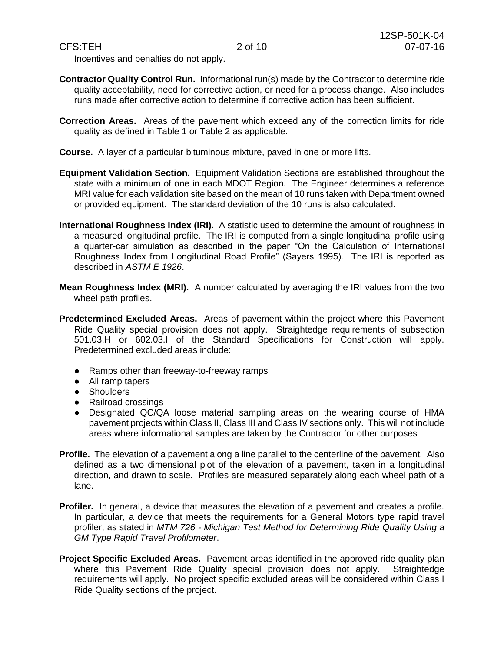Incentives and penalties do not apply.

- **Contractor Quality Control Run.** Informational run(s) made by the Contractor to determine ride quality acceptability, need for corrective action, or need for a process change. Also includes runs made after corrective action to determine if corrective action has been sufficient.
- **Correction Areas.** Areas of the pavement which exceed any of the correction limits for ride quality as defined in Table 1 or Table 2 as applicable.
- **Course.** A layer of a particular bituminous mixture, paved in one or more lifts.
- **Equipment Validation Section.** Equipment Validation Sections are established throughout the state with a minimum of one in each MDOT Region. The Engineer determines a reference MRI value for each validation site based on the mean of 10 runs taken with Department owned or provided equipment. The standard deviation of the 10 runs is also calculated.
- **International Roughness Index (IRI).** A statistic used to determine the amount of roughness in a measured longitudinal profile. The IRI is computed from a single longitudinal profile using a quarter-car simulation as described in the paper "On the Calculation of International Roughness Index from Longitudinal Road Profile" (Sayers 1995). The IRI is reported as described in *ASTM E 1926*.
- **Mean Roughness Index (MRI).** A number calculated by averaging the IRI values from the two wheel path profiles.
- **Predetermined Excluded Areas.** Areas of pavement within the project where this Pavement Ride Quality special provision does not apply. Straightedge requirements of subsection 501.03.H or 602.03.I of the Standard Specifications for Construction will apply. Predetermined excluded areas include:
	- Ramps other than freeway-to-freeway ramps
	- All ramp tapers
	- Shoulders
	- Railroad crossings
	- Designated QC/QA loose material sampling areas on the wearing course of HMA pavement projects within Class II, Class III and Class IV sections only. This will not include areas where informational samples are taken by the Contractor for other purposes
- **Profile.** The elevation of a pavement along a line parallel to the centerline of the pavement. Also defined as a two dimensional plot of the elevation of a pavement, taken in a longitudinal direction, and drawn to scale. Profiles are measured separately along each wheel path of a lane.
- **Profiler.** In general, a device that measures the elevation of a pavement and creates a profile. In particular, a device that meets the requirements for a General Motors type rapid travel profiler, as stated in *MTM 726 - Michigan Test Method for Determining Ride Quality Using a GM Type Rapid Travel Profilometer*.
- **Project Specific Excluded Areas.** Pavement areas identified in the approved ride quality plan where this Pavement Ride Quality special provision does not apply. Straightedge requirements will apply. No project specific excluded areas will be considered within Class I Ride Quality sections of the project.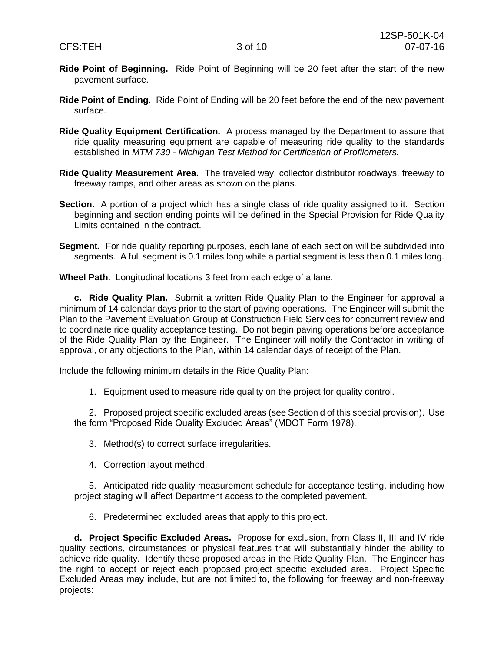- **Ride Point of Beginning.** Ride Point of Beginning will be 20 feet after the start of the new pavement surface.
- **Ride Point of Ending.** Ride Point of Ending will be 20 feet before the end of the new pavement surface.
- **Ride Quality Equipment Certification.** A process managed by the Department to assure that ride quality measuring equipment are capable of measuring ride quality to the standards established in *MTM 730 - Michigan Test Method for Certification of Profilometers.*
- **Ride Quality Measurement Area.** The traveled way, collector distributor roadways, freeway to freeway ramps, and other areas as shown on the plans.
- **Section.** A portion of a project which has a single class of ride quality assigned to it. Section beginning and section ending points will be defined in the Special Provision for Ride Quality Limits contained in the contract.
- Segment. For ride quality reporting purposes, each lane of each section will be subdivided into segments. A full segment is 0.1 miles long while a partial segment is less than 0.1 miles long.

**Wheel Path**. Longitudinal locations 3 feet from each edge of a lane.

**c. Ride Quality Plan.** Submit a written Ride Quality Plan to the Engineer for approval a minimum of 14 calendar days prior to the start of paving operations. The Engineer will submit the Plan to the Pavement Evaluation Group at Construction Field Services for concurrent review and to coordinate ride quality acceptance testing. Do not begin paving operations before acceptance of the Ride Quality Plan by the Engineer. The Engineer will notify the Contractor in writing of approval, or any objections to the Plan, within 14 calendar days of receipt of the Plan.

Include the following minimum details in the Ride Quality Plan:

1. Equipment used to measure ride quality on the project for quality control.

2. Proposed project specific excluded areas (see Section d of this special provision). Use the form "Proposed Ride Quality Excluded Areas" (MDOT Form 1978).

- 3. Method(s) to correct surface irregularities.
- 4. Correction layout method.

5. Anticipated ride quality measurement schedule for acceptance testing, including how project staging will affect Department access to the completed pavement.

6. Predetermined excluded areas that apply to this project.

**d. Project Specific Excluded Areas.** Propose for exclusion, from Class II, III and IV ride quality sections, circumstances or physical features that will substantially hinder the ability to achieve ride quality. Identify these proposed areas in the Ride Quality Plan. The Engineer has the right to accept or reject each proposed project specific excluded area. Project Specific Excluded Areas may include, but are not limited to, the following for freeway and non-freeway projects: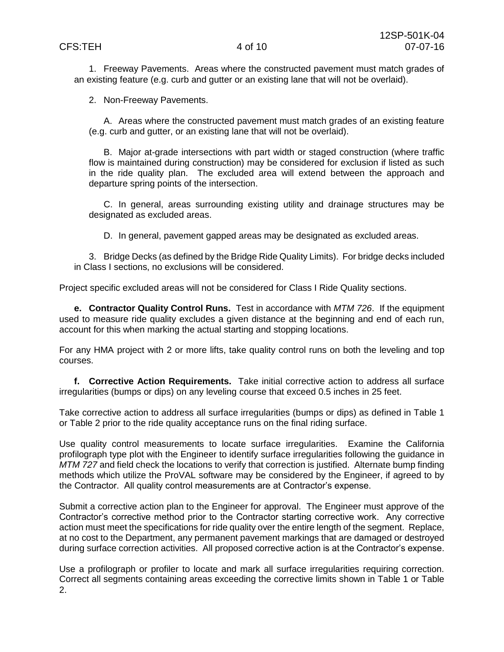1. Freeway Pavements. Areas where the constructed pavement must match grades of an existing feature (e.g. curb and gutter or an existing lane that will not be overlaid).

2. Non-Freeway Pavements.

A. Areas where the constructed pavement must match grades of an existing feature (e.g. curb and gutter, or an existing lane that will not be overlaid).

B. Major at-grade intersections with part width or staged construction (where traffic flow is maintained during construction) may be considered for exclusion if listed as such in the ride quality plan. The excluded area will extend between the approach and departure spring points of the intersection.

C. In general, areas surrounding existing utility and drainage structures may be designated as excluded areas.

D. In general, pavement gapped areas may be designated as excluded areas.

3. Bridge Decks (as defined by the Bridge Ride Quality Limits). For bridge decks included in Class I sections, no exclusions will be considered.

Project specific excluded areas will not be considered for Class I Ride Quality sections.

**e. Contractor Quality Control Runs.** Test in accordance with *MTM 726*. If the equipment used to measure ride quality excludes a given distance at the beginning and end of each run, account for this when marking the actual starting and stopping locations.

For any HMA project with 2 or more lifts, take quality control runs on both the leveling and top courses.

**f. Corrective Action Requirements.** Take initial corrective action to address all surface irregularities (bumps or dips) on any leveling course that exceed 0.5 inches in 25 feet.

Take corrective action to address all surface irregularities (bumps or dips) as defined in Table 1 or Table 2 prior to the ride quality acceptance runs on the final riding surface.

Use quality control measurements to locate surface irregularities. Examine the California profilograph type plot with the Engineer to identify surface irregularities following the guidance in *MTM 727* and field check the locations to verify that correction is justified. Alternate bump finding methods which utilize the ProVAL software may be considered by the Engineer, if agreed to by the Contractor. All quality control measurements are at Contractor's expense.

Submit a corrective action plan to the Engineer for approval. The Engineer must approve of the Contractor's corrective method prior to the Contractor starting corrective work. Any corrective action must meet the specifications for ride quality over the entire length of the segment. Replace, at no cost to the Department, any permanent pavement markings that are damaged or destroyed during surface correction activities. All proposed corrective action is at the Contractor's expense.

Use a profilograph or profiler to locate and mark all surface irregularities requiring correction. Correct all segments containing areas exceeding the corrective limits shown in Table 1 or Table 2.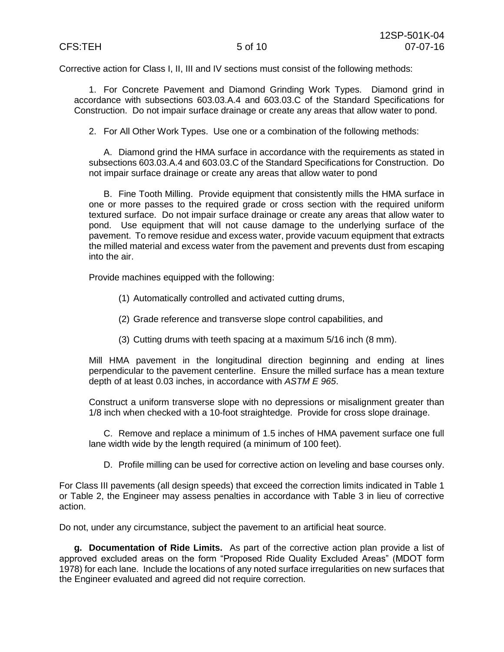Corrective action for Class I, II, III and IV sections must consist of the following methods:

1. For Concrete Pavement and Diamond Grinding Work Types. Diamond grind in accordance with subsections 603.03.A.4 and 603.03.C of the Standard Specifications for Construction. Do not impair surface drainage or create any areas that allow water to pond.

2. For All Other Work Types. Use one or a combination of the following methods:

A. Diamond grind the HMA surface in accordance with the requirements as stated in subsections 603.03.A.4 and 603.03.C of the Standard Specifications for Construction. Do not impair surface drainage or create any areas that allow water to pond

B. Fine Tooth Milling. Provide equipment that consistently mills the HMA surface in one or more passes to the required grade or cross section with the required uniform textured surface. Do not impair surface drainage or create any areas that allow water to pond. Use equipment that will not cause damage to the underlying surface of the pavement. To remove residue and excess water, provide vacuum equipment that extracts the milled material and excess water from the pavement and prevents dust from escaping into the air.

Provide machines equipped with the following:

- (1) Automatically controlled and activated cutting drums,
- (2) Grade reference and transverse slope control capabilities, and
- (3) Cutting drums with teeth spacing at a maximum 5/16 inch (8 mm).

Mill HMA pavement in the longitudinal direction beginning and ending at lines perpendicular to the pavement centerline. Ensure the milled surface has a mean texture depth of at least 0.03 inches, in accordance with *ASTM E 965*.

Construct a uniform transverse slope with no depressions or misalignment greater than 1/8 inch when checked with a 10-foot straightedge. Provide for cross slope drainage.

C. Remove and replace a minimum of 1.5 inches of HMA pavement surface one full lane width wide by the length required (a minimum of 100 feet).

D. Profile milling can be used for corrective action on leveling and base courses only.

For Class III pavements (all design speeds) that exceed the correction limits indicated in Table 1 or Table 2, the Engineer may assess penalties in accordance with Table 3 in lieu of corrective action.

Do not, under any circumstance, subject the pavement to an artificial heat source.

**g. Documentation of Ride Limits.** As part of the corrective action plan provide a list of approved excluded areas on the form "Proposed Ride Quality Excluded Areas" (MDOT form 1978) for each lane. Include the locations of any noted surface irregularities on new surfaces that the Engineer evaluated and agreed did not require correction.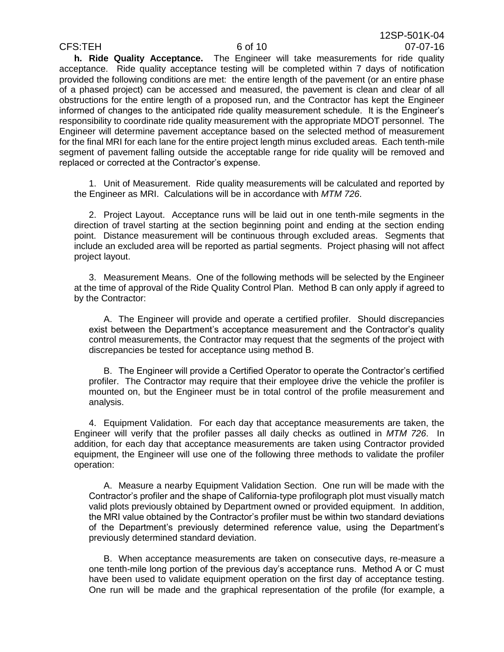**h. Ride Quality Acceptance.** The Engineer will take measurements for ride quality acceptance. Ride quality acceptance testing will be completed within 7 days of notification provided the following conditions are met: the entire length of the pavement (or an entire phase of a phased project) can be accessed and measured, the pavement is clean and clear of all obstructions for the entire length of a proposed run, and the Contractor has kept the Engineer informed of changes to the anticipated ride quality measurement schedule. It is the Engineer's responsibility to coordinate ride quality measurement with the appropriate MDOT personnel. The Engineer will determine pavement acceptance based on the selected method of measurement for the final MRI for each lane for the entire project length minus excluded areas. Each tenth-mile segment of pavement falling outside the acceptable range for ride quality will be removed and replaced or corrected at the Contractor's expense.

1. Unit of Measurement. Ride quality measurements will be calculated and reported by the Engineer as MRI. Calculations will be in accordance with *MTM 726*.

2. Project Layout. Acceptance runs will be laid out in one tenth-mile segments in the direction of travel starting at the section beginning point and ending at the section ending point. Distance measurement will be continuous through excluded areas. Segments that include an excluded area will be reported as partial segments. Project phasing will not affect project layout.

3. Measurement Means. One of the following methods will be selected by the Engineer at the time of approval of the Ride Quality Control Plan. Method B can only apply if agreed to by the Contractor:

A. The Engineer will provide and operate a certified profiler. Should discrepancies exist between the Department's acceptance measurement and the Contractor's quality control measurements, the Contractor may request that the segments of the project with discrepancies be tested for acceptance using method B.

B. The Engineer will provide a Certified Operator to operate the Contractor's certified profiler. The Contractor may require that their employee drive the vehicle the profiler is mounted on, but the Engineer must be in total control of the profile measurement and analysis.

4. Equipment Validation. For each day that acceptance measurements are taken, the Engineer will verify that the profiler passes all daily checks as outlined in *MTM 726*. In addition, for each day that acceptance measurements are taken using Contractor provided equipment, the Engineer will use one of the following three methods to validate the profiler operation:

A. Measure a nearby Equipment Validation Section. One run will be made with the Contractor's profiler and the shape of California-type profilograph plot must visually match valid plots previously obtained by Department owned or provided equipment. In addition, the MRI value obtained by the Contractor's profiler must be within two standard deviations of the Department's previously determined reference value, using the Department's previously determined standard deviation.

B. When acceptance measurements are taken on consecutive days, re-measure a one tenth-mile long portion of the previous day's acceptance runs. Method A or C must have been used to validate equipment operation on the first day of acceptance testing. One run will be made and the graphical representation of the profile (for example, a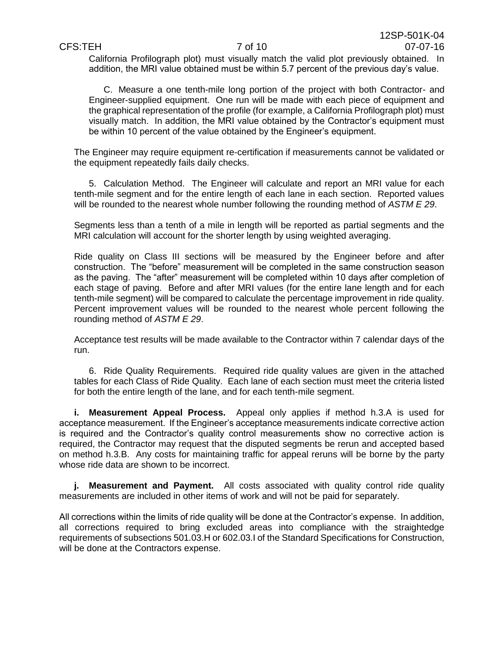California Profilograph plot) must visually match the valid plot previously obtained. In addition, the MRI value obtained must be within 5.7 percent of the previous day's value.

C. Measure a one tenth-mile long portion of the project with both Contractor- and Engineer-supplied equipment. One run will be made with each piece of equipment and the graphical representation of the profile (for example, a California Profilograph plot) must visually match. In addition, the MRI value obtained by the Contractor's equipment must be within 10 percent of the value obtained by the Engineer's equipment.

The Engineer may require equipment re-certification if measurements cannot be validated or the equipment repeatedly fails daily checks.

5. Calculation Method. The Engineer will calculate and report an MRI value for each tenth-mile segment and for the entire length of each lane in each section. Reported values will be rounded to the nearest whole number following the rounding method of *ASTM E 29*.

Segments less than a tenth of a mile in length will be reported as partial segments and the MRI calculation will account for the shorter length by using weighted averaging.

Ride quality on Class III sections will be measured by the Engineer before and after construction. The "before" measurement will be completed in the same construction season as the paving. The "after" measurement will be completed within 10 days after completion of each stage of paving. Before and after MRI values (for the entire lane length and for each tenth-mile segment) will be compared to calculate the percentage improvement in ride quality. Percent improvement values will be rounded to the nearest whole percent following the rounding method of *ASTM E 29*.

Acceptance test results will be made available to the Contractor within 7 calendar days of the run.

6. Ride Quality Requirements. Required ride quality values are given in the attached tables for each Class of Ride Quality. Each lane of each section must meet the criteria listed for both the entire length of the lane, and for each tenth-mile segment.

**i. Measurement Appeal Process.** Appeal only applies if method h.3.A is used for acceptance measurement. If the Engineer's acceptance measurements indicate corrective action is required and the Contractor's quality control measurements show no corrective action is required, the Contractor may request that the disputed segments be rerun and accepted based on method h.3.B. Any costs for maintaining traffic for appeal reruns will be borne by the party whose ride data are shown to be incorrect.

**j. Measurement and Payment.** All costs associated with quality control ride quality measurements are included in other items of work and will not be paid for separately.

All corrections within the limits of ride quality will be done at the Contractor's expense. In addition, all corrections required to bring excluded areas into compliance with the straightedge requirements of subsections 501.03.H or 602.03.I of the Standard Specifications for Construction, will be done at the Contractors expense.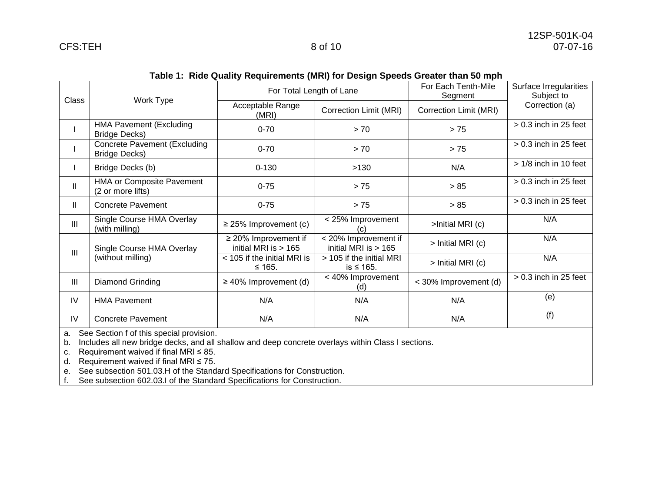| rapic 1. Thuc wually Reyulteritents (MR) for Design Opecus Orealer than 90 mpn |                                                        |                                                     |                                                |                                |                                      |  |  |  |
|--------------------------------------------------------------------------------|--------------------------------------------------------|-----------------------------------------------------|------------------------------------------------|--------------------------------|--------------------------------------|--|--|--|
| <b>Class</b>                                                                   | Work Type                                              | For Total Length of Lane                            |                                                | For Each Tenth-Mile<br>Segment | Surface Irregularities<br>Subject to |  |  |  |
|                                                                                |                                                        | Acceptable Range<br>(MRI)                           | Correction Limit (MRI)                         | Correction Limit (MRI)         | Correction (a)                       |  |  |  |
|                                                                                | <b>HMA Pavement (Excluding</b><br><b>Bridge Decks)</b> | $0 - 70$                                            | > 70                                           | $> 75$                         | $> 0.3$ inch in 25 feet              |  |  |  |
|                                                                                | Concrete Pavement (Excluding<br><b>Bridge Decks)</b>   | $0 - 70$                                            | > 70                                           | > 75                           | $> 0.3$ inch in 25 feet              |  |  |  |
|                                                                                | Bridge Decks (b)                                       | $0 - 130$                                           | >130                                           | N/A                            | $> 1/8$ inch in 10 feet              |  |  |  |
| $\mathbf{II}$                                                                  | HMA or Composite Pavement<br>(2 or more lifts)         | $0 - 75$                                            | > 75                                           | > 85                           | $> 0.3$ inch in 25 feet              |  |  |  |
| Ш                                                                              | <b>Concrete Pavement</b>                               | $0 - 75$                                            | > 75                                           | > 85                           | $> 0.3$ inch in 25 feet              |  |  |  |
| III                                                                            | Single Course HMA Overlay<br>(with milling)            | $\geq$ 25% Improvement (c)                          | < 25% Improvement<br>(c)                       | >Initial MRI (c)               | N/A                                  |  |  |  |
| $\mathbf{III}$                                                                 | Single Course HMA Overlay<br>(without milling)         | $\geq$ 20% Improvement if<br>initial MRI is $> 165$ | < 20% Improvement if<br>initial MRI is $> 165$ | > Initial MRI (c)              | N/A                                  |  |  |  |
|                                                                                |                                                        | < 105 if the initial MRI is<br>$≤ 165.$             | > 105 if the initial MRI<br>is $\leq 165$ .    | > Initial MRI (c)              | N/A                                  |  |  |  |
| III                                                                            | Diamond Grinding                                       | $\geq$ 40% Improvement (d)                          | < 40% Improvement<br>(d)                       | < 30% Improvement (d)          | $> 0.3$ inch in 25 feet              |  |  |  |
| IV                                                                             | <b>HMA Pavement</b>                                    | N/A                                                 | N/A                                            | N/A                            | (e)                                  |  |  |  |
| IV                                                                             | <b>Concrete Pavement</b>                               | N/A                                                 | N/A                                            | N/A                            | (f)                                  |  |  |  |

### **Table 1: Ride Quality Requirements (MRI) for Design Speeds Greater than 50 mph**

a. See Section f of this special provision.

b. Includes all new bridge decks, and all shallow and deep concrete overlays within Class I sections.

c. Requirement waived if final MRI ≤ 85.

d. Requirement waived if final MRI  $\leq$  75.

e. See subsection 501.03.H of the Standard Specifications for Construction.

f. See subsection 602.03.I of the Standard Specifications for Construction.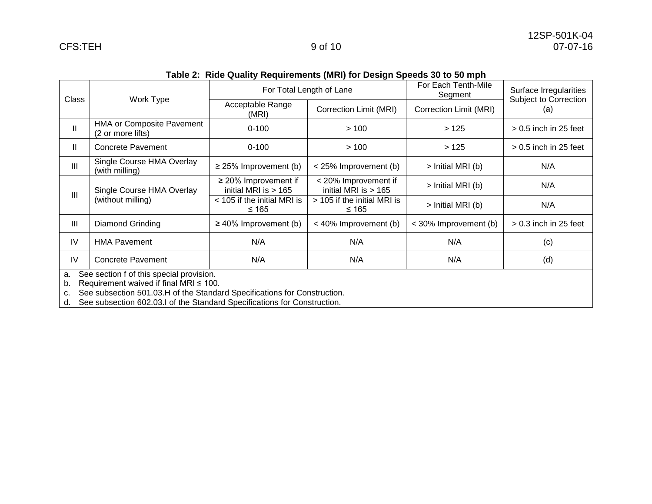| Class                                                                                                                                                                                 | Work Type                                             | For Total Length of Lane                            |                                                | For Each Tenth-Mile<br>Segment | Surface Irregularities<br>Subject to Correction |  |
|---------------------------------------------------------------------------------------------------------------------------------------------------------------------------------------|-------------------------------------------------------|-----------------------------------------------------|------------------------------------------------|--------------------------------|-------------------------------------------------|--|
|                                                                                                                                                                                       |                                                       | Acceptable Range<br>(MRI)                           | Correction Limit (MRI)                         | Correction Limit (MRI)         | (a)                                             |  |
| $\mathbf{II}$                                                                                                                                                                         | <b>HMA or Composite Pavement</b><br>(2 or more lifts) | $0 - 100$                                           | >100                                           | >125                           | $> 0.5$ inch in 25 feet                         |  |
| $\mathbf{I}$                                                                                                                                                                          | <b>Concrete Pavement</b>                              | $0 - 100$                                           | >100                                           | >125                           | $> 0.5$ inch in 25 feet                         |  |
| III                                                                                                                                                                                   | Single Course HMA Overlay<br>(with milling)           | $\geq$ 25% Improvement (b)                          | < 25% Improvement (b)                          | > Initial MRI (b)              | N/A                                             |  |
| Ш                                                                                                                                                                                     | Single Course HMA Overlay<br>(without milling)        | $\geq$ 20% Improvement if<br>initial MRI is $> 165$ | < 20% Improvement if<br>initial MRI is $> 165$ | > Initial MRI (b)              | N/A                                             |  |
|                                                                                                                                                                                       |                                                       | < 105 if the initial MRI is<br>≤ 165                | > 105 if the initial MRI is<br>≤ 165           | > Initial MRI (b)              | N/A                                             |  |
| III                                                                                                                                                                                   | Diamond Grinding                                      | $\geq$ 40% Improvement (b)                          | < 40% Improvement (b)                          | < 30% Improvement (b)          | $> 0.3$ inch in 25 feet                         |  |
| IV                                                                                                                                                                                    | <b>HMA Pavement</b>                                   | N/A                                                 | N/A                                            | N/A                            | (c)                                             |  |
| IV                                                                                                                                                                                    | <b>Concrete Pavement</b>                              | N/A                                                 | N/A                                            | N/A                            | (d)                                             |  |
| See section f of this special provision.<br>a.<br>Requirement waived if final MRI $\leq$ 100.<br>b.<br>See subsection 501.03.H of the Standard Specifications for Construction.<br>c. |                                                       |                                                     |                                                |                                |                                                 |  |

## **Table 2: Ride Quality Requirements (MRI) for Design Speeds 30 to 50 mph**

d. See subsection 602.03.I of the Standard Specifications for Construction.